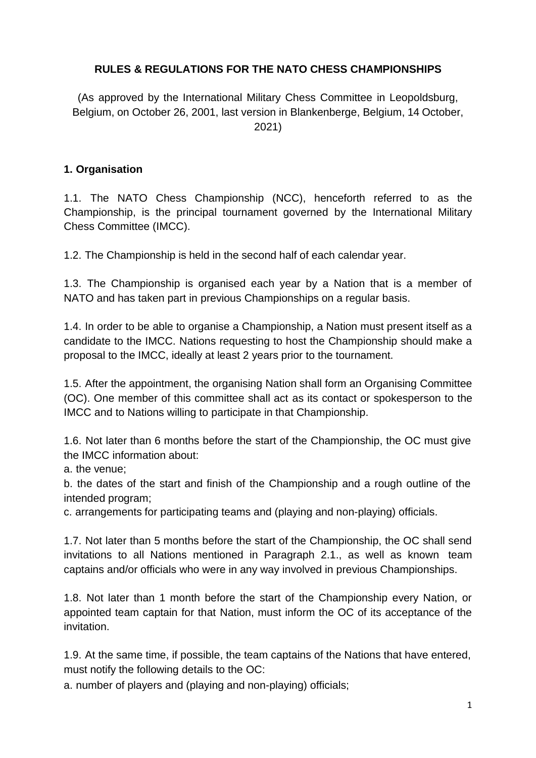### **RULES & REGULATIONS FOR THE NATO CHESS CHAMPIONSHIPS**

(As approved by the International Military Chess Committee in Leopoldsburg, Belgium, on October 26, 2001, last version in Blankenberge, Belgium, 14 October, 2021)

#### **1. Organisation**

1.1. The NATO Chess Championship (NCC), henceforth referred to as the Championship, is the principal tournament governed by the International Military Chess Committee (IMCC).

1.2. The Championship is held in the second half of each calendar year.

1.3. The Championship is organised each year by a Nation that is a member of NATO and has taken part in previous Championships on a regular basis.

1.4. In order to be able to organise a Championship, a Nation must present itself as a candidate to the IMCC. Nations requesting to host the Championship should make a proposal to the IMCC, ideally at least 2 years prior to the tournament.

1.5. After the appointment, the organising Nation shall form an Organising Committee (OC). One member of this committee shall act as its contact or spokesperson to the IMCC and to Nations willing to participate in that Championship.

1.6. Not later than 6 months before the start of the Championship, the OC must give the IMCC information about:

a. the venue;

b. the dates of the start and finish of the Championship and a rough outline of the intended program;

c. arrangements for participating teams and (playing and non-playing) officials.

1.7. Not later than 5 months before the start of the Championship, the OC shall send invitations to all Nations mentioned in Paragraph 2.1., as well as known team captains and/or officials who were in any way involved in previous Championships.

1.8. Not later than 1 month before the start of the Championship every Nation, or appointed team captain for that Nation, must inform the OC of its acceptance of the invitation.

1.9. At the same time, if possible, the team captains of the Nations that have entered, must notify the following details to the OC:

a. number of players and (playing and non-playing) officials;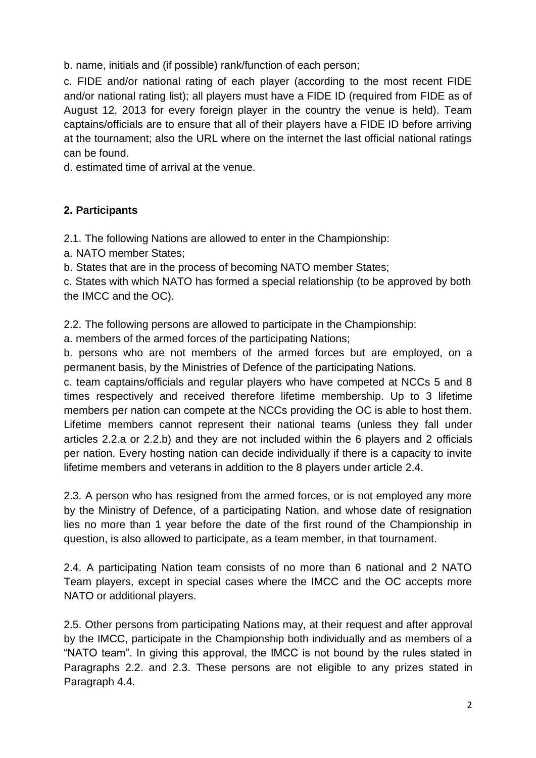b. name, initials and (if possible) rank/function of each person;

c. FIDE and/or national rating of each player (according to the most recent FIDE and/or national rating list); all players must have a FIDE ID (required from FIDE as of August 12, 2013 for every foreign player in the country the venue is held). Team captains/officials are to ensure that all of their players have a FIDE ID before arriving at the tournament; also the URL where on the internet the last official national ratings can be found.

d. estimated time of arrival at the venue.

# **2. Participants**

2.1. The following Nations are allowed to enter in the Championship:

a. NATO member States;

b. States that are in the process of becoming NATO member States;

c. States with which NATO has formed a special relationship (to be approved by both the IMCC and the OC).

2.2. The following persons are allowed to participate in the Championship:

a. members of the armed forces of the participating Nations;

b. persons who are not members of the armed forces but are employed, on a permanent basis, by the Ministries of Defence of the participating Nations.

c. team captains/officials and regular players who have competed at NCCs 5 and 8 times respectively and received therefore lifetime membership. Up to 3 lifetime members per nation can compete at the NCCs providing the OC is able to host them. Lifetime members cannot represent their national teams (unless they fall under articles 2.2.a or 2.2.b) and they are not included within the 6 players and 2 officials per nation. Every hosting nation can decide individually if there is a capacity to invite lifetime members and veterans in addition to the 8 players under article 2.4.

2.3. A person who has resigned from the armed forces, or is not employed any more by the Ministry of Defence, of a participating Nation, and whose date of resignation lies no more than 1 year before the date of the first round of the Championship in question, is also allowed to participate, as a team member, in that tournament.

2.4. A participating Nation team consists of no more than 6 national and 2 NATO Team players, except in special cases where the IMCC and the OC accepts more NATO or additional players.

2.5. Other persons from participating Nations may, at their request and after approval by the IMCC, participate in the Championship both individually and as members of a "NATO team". In giving this approval, the IMCC is not bound by the rules stated in Paragraphs 2.2. and 2.3. These persons are not eligible to any prizes stated in Paragraph 4.4.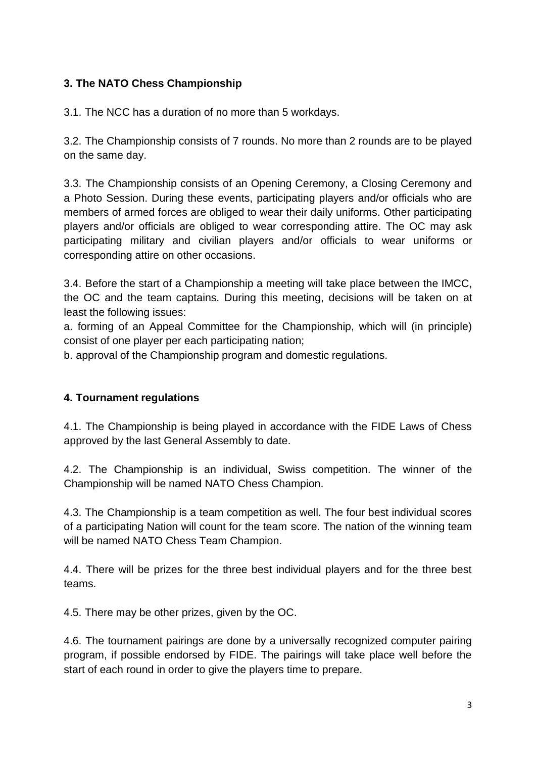# **3. The NATO Chess Championship**

3.1. The NCC has a duration of no more than 5 workdays.

3.2. The Championship consists of 7 rounds. No more than 2 rounds are to be played on the same day.

3.3. The Championship consists of an Opening Ceremony, a Closing Ceremony and a Photo Session. During these events, participating players and/or officials who are members of armed forces are obliged to wear their daily uniforms. Other participating players and/or officials are obliged to wear corresponding attire. The OC may ask participating military and civilian players and/or officials to wear uniforms or corresponding attire on other occasions.

3.4. Before the start of a Championship a meeting will take place between the IMCC, the OC and the team captains. During this meeting, decisions will be taken on at least the following issues:

a. forming of an Appeal Committee for the Championship, which will (in principle) consist of one player per each participating nation;

b. approval of the Championship program and domestic regulations.

## **4. Tournament regulations**

4.1. The Championship is being played in accordance with the FIDE Laws of Chess approved by the last General Assembly to date.

4.2. The Championship is an individual, Swiss competition. The winner of the Championship will be named NATO Chess Champion.

4.3. The Championship is a team competition as well. The four best individual scores of a participating Nation will count for the team score. The nation of the winning team will be named NATO Chess Team Champion.

4.4. There will be prizes for the three best individual players and for the three best teams.

4.5. There may be other prizes, given by the OC.

4.6. The tournament pairings are done by a universally recognized computer pairing program, if possible endorsed by FIDE. The pairings will take place well before the start of each round in order to give the players time to prepare.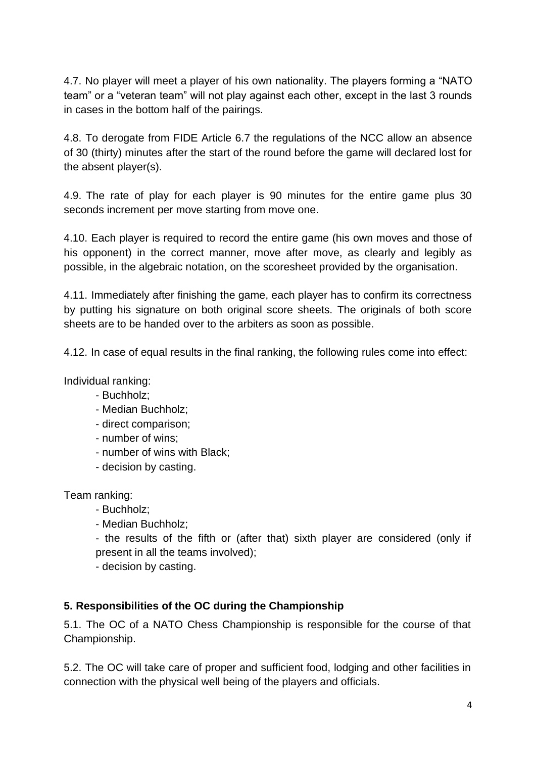4.7. No player will meet a player of his own nationality. The players forming a "NATO team" or a "veteran team" will not play against each other, except in the last 3 rounds in cases in the bottom half of the pairings.

4.8. To derogate from FIDE Article 6.7 the regulations of the NCC allow an absence of 30 (thirty) minutes after the start of the round before the game will declared lost for the absent player(s).

4.9. The rate of play for each player is 90 minutes for the entire game plus 30 seconds increment per move starting from move one.

4.10. Each player is required to record the entire game (his own moves and those of his opponent) in the correct manner, move after move, as clearly and legibly as possible, in the algebraic notation, on the scoresheet provided by the organisation.

4.11. Immediately after finishing the game, each player has to confirm its correctness by putting his signature on both original score sheets. The originals of both score sheets are to be handed over to the arbiters as soon as possible.

4.12. In case of equal results in the final ranking, the following rules come into effect:

Individual ranking:

- Buchholz;
- Median Buchholz;
- direct comparison;
- number of wins;
- number of wins with Black;
- decision by casting.

Team ranking:

- Buchholz;
- Median Buchholz;

- the results of the fifth or (after that) sixth player are considered (only if present in all the teams involved);

- decision by casting.

#### **5. Responsibilities of the OC during the Championship**

5.1. The OC of a NATO Chess Championship is responsible for the course of that Championship.

5.2. The OC will take care of proper and sufficient food, lodging and other facilities in connection with the physical well being of the players and officials.